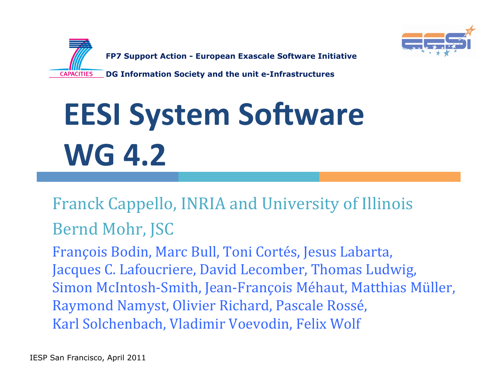



# **EESI System Software** WG 4.2

# Franck Cappello, INRIA and University of Illinois Bernd Mohr, JSC

François Bodin, Marc Bull, Toni Cortés, Jesus Labarta, Jacques C. Lafoucriere, David Lecomber, Thomas Ludwig, Simon McIntosh-Smith, Jean-François Méhaut, Matthias Müller, Raymond Namyst, Olivier Richard, Pascale Rossé, Karl Solchenbach, Vladimir Voevodin, Felix Wolf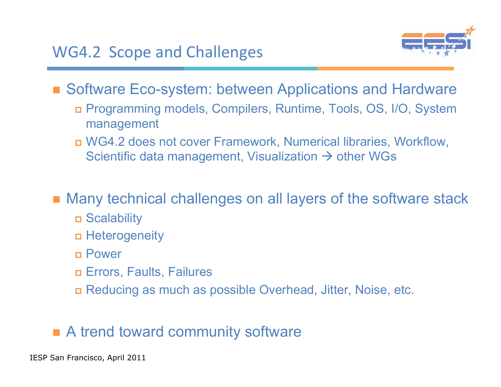

■ Software Eco-system: between Applications and Hardware

- Programming models, Compilers, Runtime, Tools, OS, I/O, System management
- WG4.2 does not cover Framework, Numerical libraries, Workflow, Scientific data management, Visualization  $\rightarrow$  other WGs

Many technical challenges on all layers of the software stack

- Scalability
- Heterogeneity
- Power
- Errors, Faults, Failures
- Reducing as much as possible Overhead, Jitter, Noise, etc.

#### A trend toward community software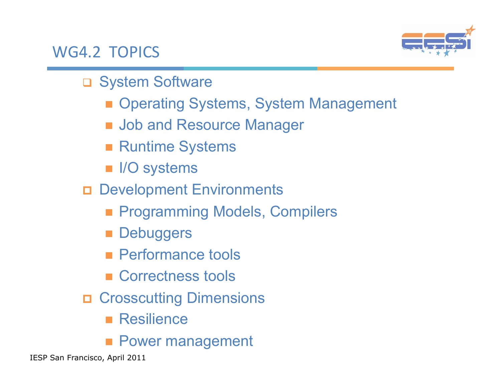#### WG4.2 TOPICS



- □ System Software
	- Operating Systems, System Management
	- **Job and Resource Manager**
	- **Runtime Systems**
	- **III** I/O systems
- Development Environments
	- **Programming Models, Compilers**
	- **Debuggers**
	- **Performance tools**
	- Correctness tools
- **OF Crosscutting Dimensions** 
	- **Resilience**
	- **Power management**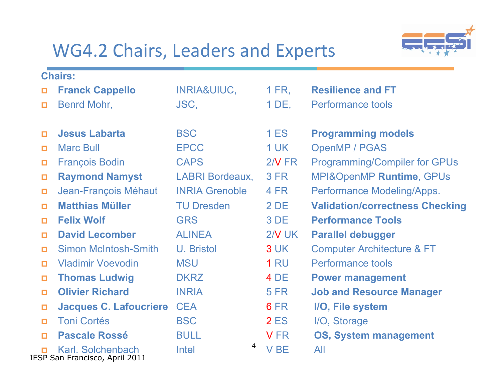# WG4.2 Chairs, Leaders and Experts



| <b>Chairs:</b> |                                                     |                         |             |                                        |  |
|----------------|-----------------------------------------------------|-------------------------|-------------|----------------------------------------|--|
| О              | <b>Franck Cappello</b>                              | <b>INRIA&amp;UIUC,</b>  | 1 FR,       | <b>Resilience and FT</b>               |  |
| $\Box$         | Benrd Mohr,                                         | JSC,                    | $1$ DE,     | <b>Performance tools</b>               |  |
|                |                                                     |                         |             |                                        |  |
| о              | <b>Jesus Labarta</b>                                | <b>BSC</b>              | <b>1 ES</b> | <b>Programming models</b>              |  |
| $\Box$         | <b>Marc Bull</b>                                    | <b>EPCC</b>             | <b>1 UK</b> | <b>OpenMP / PGAS</b>                   |  |
| $\Box$         | <b>François Bodin</b>                               | <b>CAPS</b>             | $2/N$ FR    | <b>Programming/Compiler for GPUs</b>   |  |
| ο              | <b>Raymond Namyst</b>                               | <b>LABRI Bordeaux,</b>  | <b>3 FR</b> | MPI&OpenMP Runtime, GPUs               |  |
| $\Box$         | Jean-François Méhaut                                | <b>INRIA Grenoble</b>   | 4 FR        | Performance Modeling/Apps.             |  |
| $\Box$         | <b>Matthias Müller</b>                              | <b>TU Dresden</b>       | 2 DE        | <b>Validation/correctness Checking</b> |  |
| $\Box$         | <b>Felix Wolf</b>                                   | <b>GRS</b>              | 3 DE        | <b>Performance Tools</b>               |  |
| $\Box$         | <b>David Lecomber</b>                               | <b>ALINEA</b>           | $2N$ UK     | <b>Parallel debugger</b>               |  |
| о              | <b>Simon McIntosh-Smith</b>                         | U. Bristol              | 3 UK        | <b>Computer Architecture &amp; FT</b>  |  |
| $\Box$         | <b>Vladimir Voevodin</b>                            | <b>MSU</b>              | <b>1 RU</b> | <b>Performance tools</b>               |  |
| о              | <b>Thomas Ludwig</b>                                | <b>DKRZ</b>             | 4 DE        | <b>Power management</b>                |  |
| о              | <b>Olivier Richard</b>                              | <b>INRIA</b>            | <b>5 FR</b> | <b>Job and Resource Manager</b>        |  |
| $\Box$         | <b>Jacques C. Lafoucriere</b>                       | <b>CEA</b>              | 6 FR        | I/O, File system                       |  |
| $\Box$         | <b>Toni Cortés</b>                                  | <b>BSC</b>              | <b>2 ES</b> | I/O, Storage                           |  |
| $\Box$         | <b>Pascale Rossé</b>                                | <b>BULL</b>             | <b>VFR</b>  | <b>OS, System management</b>           |  |
|                | Karl. Solchenbach<br>IESP San Francisco, April 2011 | $\overline{4}$<br>Intel | <b>VBE</b>  | All                                    |  |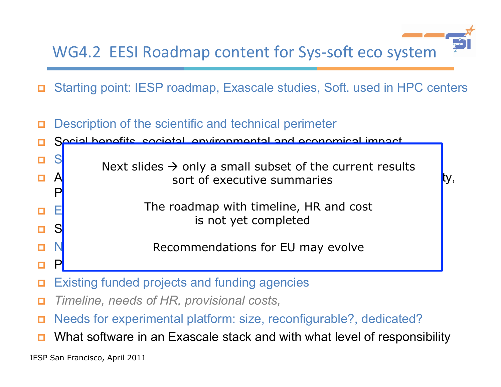WG4.2 EESI Roadmap content for Sys-soft eco system

- Starting point: IESP roadmap, Exascale studies, Soft. used in HPC centers
- Description of the scientific and technical perimeter Social benefits, societal, environmental and economical impact  $\Box$  School and technical hurdless  $\Box$  and the set address corrective summaries and  $\overline{f}$  ty,  $P_1$  optimization and Reproducibility of the results,  $P_2$ **E**  $\Box$  S **D** N Recommendations for EU may evolve o P<mark>otential collaborations outside Europe</mark> Next slides  $\rightarrow$  only a small subset of the current results is not yet completed
- Existing funded projects and funding agencies
- *Timeline, needs of HR, provisional costs,*
- Needs for experimental platform: size, reconfigurable?, dedicated?
- What software in an Exascale stack and with what level of responsibility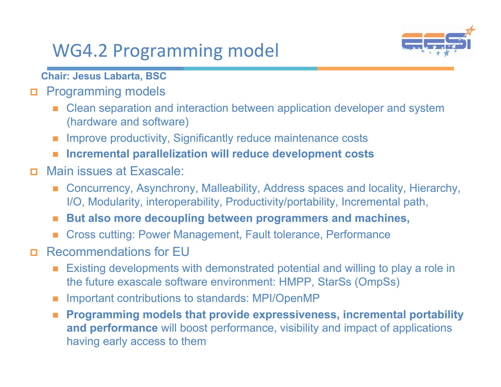# WG4.2 Programming model



**Chair: Jesus Labarta, BSC**

- **D** Programming models
	- Clean separation and interaction between application developer and system (hardware and software)
	- **IMPROVE PRODUCTIVITY, Significantly reduce maintenance costs**
	- **Incremental parallelization will reduce development costs**
- Main issues at Exascale:
	- Concurrency, Asynchrony, Malleability, Address spaces and locality, Hierarchy, I/O, Modularity, interoperability, Productivity/portability, Incremental path,
	- **But also more decoupling between programmers and machines,**
	- Cross cutting: Power Management, Fault tolerance, Performance
- Recommendations for EU
	- Existing developments with demonstrated potential and willing to play a role in the future exascale software environment: HMPP, StarSs (OmpSs)
	- Important contributions to standards: MPI/OpenMP
	- Programming models that provide expressiveness, incremental portability **and performance** will boost performance, visibility and impact of applications having early access to them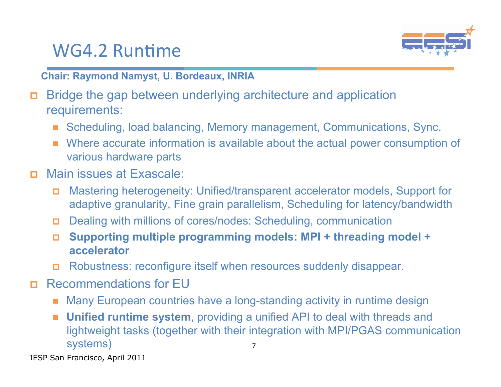#### WG4.2 Runtime



**Chair: Raymond Namyst, U. Bordeaux, INRIA**

- Bridge the gap between underlying architecture and application requirements:
	- Scheduling, load balancing, Memory management, Communications, Sync.
	- Where accurate information is available about the actual power consumption of various hardware parts
- Main issues at Exascale:
	- Mastering heterogeneity: Unified/transparent accelerator models, Support for adaptive granularity, Fine grain parallelism, Scheduling for latency/bandwidth
	- Dealing with millions of cores/nodes: Scheduling, communication
	- **Supporting multiple programming models: MPI + threading model + accelerator**
	- Robustness: reconfigure itself when resources suddenly disappear.
- Recommendations for EU
	- Many European countries have a long-standing activity in runtime design
	- 7 **Unified runtime system**, providing a unified API to deal with threads and lightweight tasks (together with their integration with MPI/PGAS communication systems)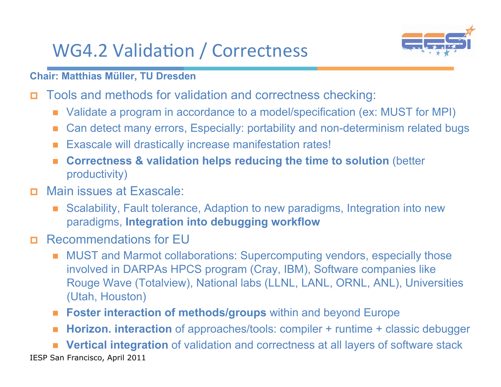# WG4.2 Validation / Correctness



**Chair: Matthias Müller, TU Dresden**

- Tools and methods for validation and correctness checking:
	- Validate a program in accordance to a model/specification (ex: MUST for MPI)
	- Can detect many errors, Especially: portability and non-determinism related bugs
	- Exascale will drastically increase manifestation rates!
	- **Correctness & validation helps reducing the time to solution** (better productivity)
- Main issues at Exascale:
	- Scalability, Fault tolerance, Adaption to new paradigms, Integration into new paradigms, **Integration into debugging workflow**
- Recommendations for EU
	- MUST and Marmot collaborations: Supercomputing vendors, especially those involved in DARPAs HPCS program (Cray, IBM), Software companies like Rouge Wave (Totalview), National labs (LLNL, LANL, ORNL, ANL), Universities (Utah, Houston)
	- **Foster interaction of methods/groups** within and beyond Europe
	- **Horizon. interaction** of approaches/tools: compiler + runtime + classic debugger

IESP San Francisco, April 2011 **Vertical integration** of validation and correctness at all layers of software stack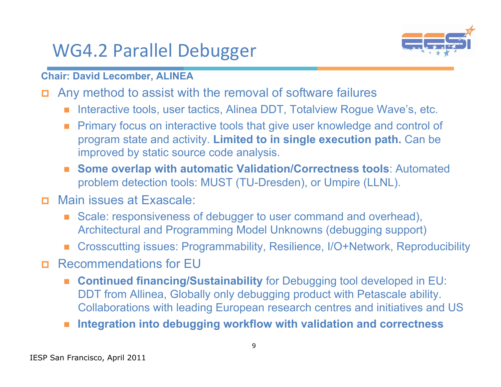### WG4.2 Parallel Debugger



**Chair: David Lecomber, ALINEA** 

- Any method to assist with the removal of software failures
	- Interactive tools, user tactics, Alinea DDT, Totalview Rogue Wave's, etc.
	- **Primary focus on interactive tools that give user knowledge and control of** program state and activity. **Limited to in single execution path.** Can be improved by static source code analysis.
	- **Some overlap with automatic Validation/Correctness tools**: Automated problem detection tools: MUST (TU-Dresden), or Umpire (LLNL).
- Main issues at Exascale:
	- Scale: responsiveness of debugger to user command and overhead), Architectural and Programming Model Unknowns (debugging support)
	- Crosscutting issues: Programmability, Resilience, I/O+Network, Reproducibility
- Recommendations for EU
	- **Continued financing/Sustainability** for Debugging tool developed in EU: DDT from Allinea, Globally only debugging product with Petascale ability. Collaborations with leading European research centres and initiatives and US
	- **Integration into debugging workflow with validation and correctness**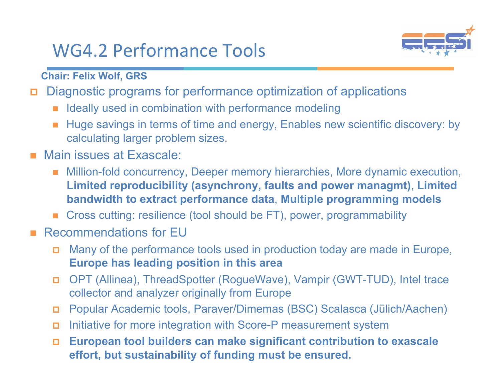# WG4.2 Performance Tools



**Chair: Felix Wolf, GRS** 

- Diagnostic programs for performance optimization of applications
	- Ideally used in combination with performance modeling
	- Huge savings in terms of time and energy, Enables new scientific discovery: by calculating larger problem sizes.
- **Main issues at Exascale:** 
	- Million-fold concurrency, Deeper memory hierarchies, More dynamic execution, **Limited reproducibility (asynchrony, faults and power managmt)**, **Limited bandwidth to extract performance data**, **Multiple programming models**
	- Cross cutting: resilience (tool should be FT), power, programmability
- Recommendations for EU
	- Many of the performance tools used in production today are made in Europe, **Europe has leading position in this area**
	- OPT (Allinea), ThreadSpotter (RogueWave), Vampir (GWT-TUD), Intel trace collector and analyzer originally from Europe
	- Popular Academic tools, Paraver/Dimemas (BSC) Scalasca (Jülich/Aachen)
	- Initiative for more integration with Score-P measurement system
	- **European tool builders can make significant contribution to exascale effort, but sustainability of funding must be ensured.**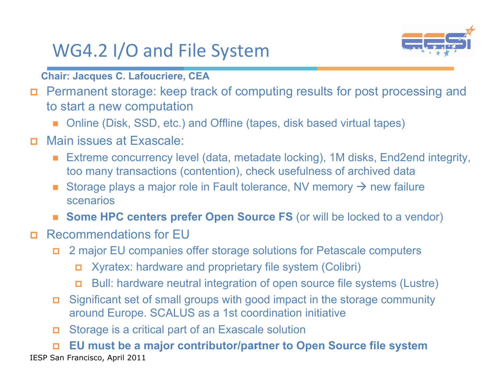# WG4.2 I/O and File System



**Chair: Jacques C. Lafoucriere, CEA**

- Permanent storage: keep track of computing results for post processing and to start a new computation
	- Online (Disk, SSD, etc.) and Offline (tapes, disk based virtual tapes)
- Main issues at Exascale:
	- Extreme concurrency level (data, metadate locking), 1M disks, End2end integrity, too many transactions (contention), check usefulness of archived data
	- Storage plays a major role in Fault tolerance, NV memory  $\rightarrow$  new failure scenarios
	- **Some HPC centers prefer Open Source FS** (or will be locked to a vendor)
- Recommendations for EU
	- 2 major EU companies offer storage solutions for Petascale computers
		- Xyratex: hardware and proprietary file system (Colibri)
		- Bull: hardware neutral integration of open source file systems (Lustre)
	- Significant set of small groups with good impact in the storage community around Europe. SCALUS as a 1st coordination initiative
	- Storage is a critical part of an Exascale solution

□ EU must be a major contributor/partner to Open Source file system IESP San Francisco, April 2011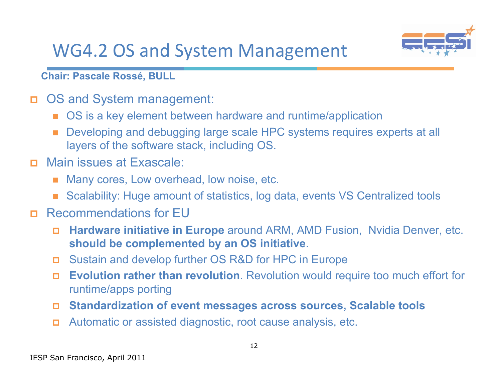### WG4.2 OS and System Management



**Chair: Pascale Rossé, BULL** 

- OS and System management:
	- OS is a key element between hardware and runtime/application
	- Developing and debugging large scale HPC systems requires experts at all layers of the software stack, including OS.
- Main issues at Exascale:
	- Many cores, Low overhead, low noise, etc.
	- Scalability: Huge amount of statistics, log data, events VS Centralized tools
- Recommendations for EU
	- **Hardware initiative in Europe** around ARM, AMD Fusion, Nvidia Denver, etc. **should be complemented by an OS initiative**.
	- Sustain and develop further OS R&D for HPC in Europe
	- **Evolution rather than revolution**. Revolution would require too much effort for runtime/apps porting
	- **Standardization of event messages across sources, Scalable tools**
	- Automatic or assisted diagnostic, root cause analysis, etc.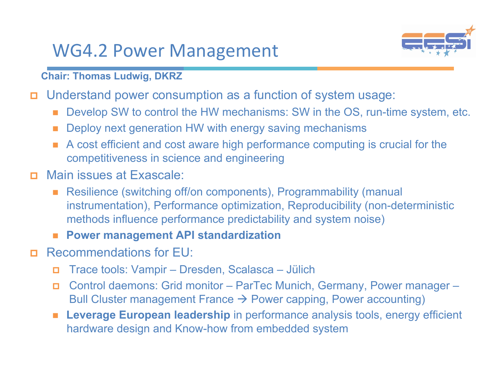#### WG4.2 Power Management



**Chair: Thomas Ludwig, DKRZ** 

- Understand power consumption as a function of system usage:
	- Develop SW to control the HW mechanisms: SW in the OS, run-time system, etc.
	- Deploy next generation HW with energy saving mechanisms
	- A cost efficient and cost aware high performance computing is crucial for the competitiveness in science and engineering
- Main issues at Exascale:
	- Resilience (switching off/on components), Programmability (manual instrumentation), Performance optimization, Reproducibility (non-deterministic methods influence performance predictability and system noise)
	- **Power management API standardization**
- **EXECOMMENDATIONS for EU:** 
	- Trace tools: Vampir Dresden, Scalasca Jülich
	- Control daemons: Grid monitor ParTec Munich, Germany, Power manager Bull Cluster management France  $\rightarrow$  Power capping, Power accounting)
	- **Leverage European leadership** in performance analysis tools, energy efficient hardware design and Know-how from embedded system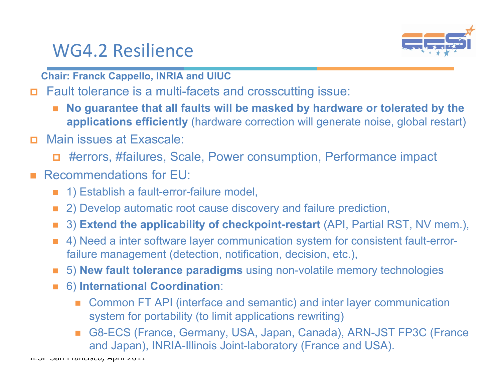#### WG4.2 Resilience



**Chair: Franck Cappello, INRIA and UIUC** 

- Fault tolerance is a multi-facets and crosscutting issue:
	- **No guarantee that all faults will be masked by hardware or tolerated by the applications efficiently** (hardware correction will generate noise, global restart)
- Main issues at Exascale:
	- #errors, #failures, Scale, Power consumption, Performance impact

#### Recommendations for EU:

- 1) Establish a fault-error-failure model,
- 2) Develop automatic root cause discovery and failure prediction,
- 3) **Extend the applicability of checkpoint-restart** (API, Partial RST, NV mem.),
- 4) Need a inter software layer communication system for consistent fault-errorfailure management (detection, notification, decision, etc.),
- 5) **New fault tolerance paradigms** using non-volatile memory technologies
- 6) **International Coordination**:
	- Common FT API (interface and semantic) and inter layer communication system for portability (to limit applications rewriting)
	- and Japan), INRIA-Illinois Joint-laboratory (France and USA). G8-ECS (France, Germany, USA, Japan, Canada), ARN-JST FP3C (France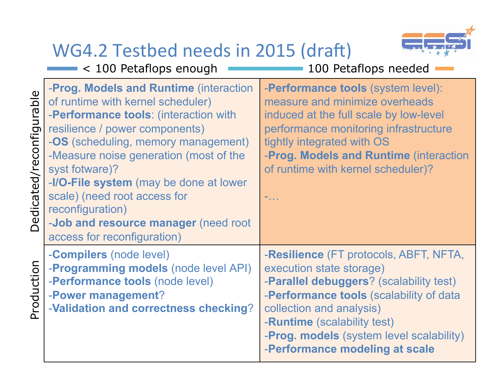#### WG4.2 Testbed needs in 2015 (draft) < 100 Petaflops enough

Production

Production

Dedicated/reconfigurable Dedicated/reconfigurable



| $<$ 100 Petaflops enough                                                                                                                                                                                                                                                                                                                                                                                                                      | 100 Petaflops needed                                                                                                                                                                                                                                                                                       |
|-----------------------------------------------------------------------------------------------------------------------------------------------------------------------------------------------------------------------------------------------------------------------------------------------------------------------------------------------------------------------------------------------------------------------------------------------|------------------------------------------------------------------------------------------------------------------------------------------------------------------------------------------------------------------------------------------------------------------------------------------------------------|
| -Prog. Models and Runtime (interaction<br>of runtime with kernel scheduler)<br>-Performance tools: (interaction with<br>resilience / power components)<br><b>-OS</b> (scheduling, memory management)<br>-Measure noise generation (most of the<br>syst fotware)?<br>-I/O-File system (may be done at lower<br>scale) (need root access for<br>reconfiguration)<br>- <b>Job and resource manager</b> (need root<br>access for reconfiguration) | - <b>Performance tools</b> (system level):<br>measure and minimize overheads<br>induced at the full scale by low-level<br>performance monitoring infrastructure<br>tightly integrated with OS<br>-Prog. Models and Runtime (interaction<br>of runtime with kernel scheduler)?<br>$\sim$                    |
| - <b>Compilers</b> (node level)<br>- <b>Programming models</b> (node level API)<br>-Performance tools (node level)<br>-Power management?<br>-Validation and correctness checking?                                                                                                                                                                                                                                                             | -Resilience (FT protocols, ABFT, NFTA,<br>execution state storage)<br>- <b>Parallel debuggers</b> ? (scalability test)<br>-Performance tools (scalability of data<br>collection and analysis)<br>-Runtime (scalability test)<br>-Prog. models (system level scalability)<br>-Performance modeling at scale |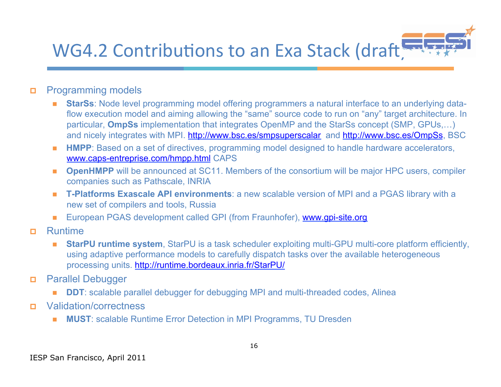#### **EESI**  WG4.2 Contributions to an Exa Stack (draft)

#### **Programming models**

- **StarSs**: Node level programming model offering programmers a natural interface to an underlying dataflow execution model and aiming allowing the "same" source code to run on "any" target architecture. In particular, **OmpSs** implementation that integrates OpenMP and the StarSs concept (SMP, GPUs,…) and nicely integrates with MPI. http://www.bsc.es/smpsuperscalar and http://www.bsc.es/OmpSs, BSC
- **HMPP**: Based on a set of directives, programming model designed to handle hardware accelerators, www.caps-entreprise.com/hmpp.html CAPS
- **DpenHMPP** will be announced at SC11. Members of the consortium will be major HPC users, compiler companies such as Pathscale, INRIA
- **T-Platforms Exascale API environments**: a new scalable version of MPI and a PGAS library with a new set of compilers and tools, Russia
- European PGAS development called GPI (from Fraunhofer), www.gpi-site.org
- **n** Runtime
	- **StarPU runtime system**, StarPU is a task scheduler exploiting multi-GPU multi-core platform efficiently, using adaptive performance models to carefully dispatch tasks over the available heterogeneous processing units. http://runtime.bordeaux.inria.fr/StarPU/
- **Parallel Debugger** 
	- **DDT**: scalable parallel debugger for debugging MPI and multi-threaded codes, Alinea
- Validation/correctness
	- **MUST**: scalable Runtime Error Detection in MPI Programms, TU Dresden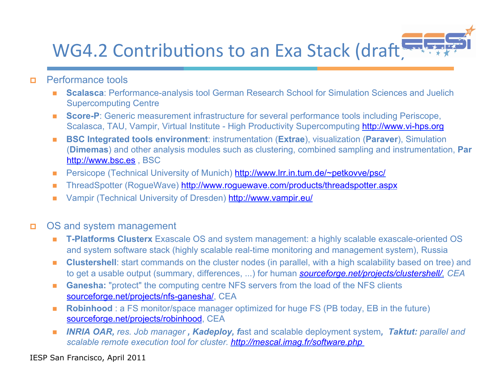#### **EESI**  WG4.2 Contributions to an Exa Stack (draft)

- **D** Performance tools
	- **Scalasca: Performance-analysis tool German Research School for Simulation Sciences and Juelich** Supercomputing Centre
	- **Score-P**: Generic measurement infrastructure for several performance tools including Periscope, Scalasca, TAU, Vampir, Virtual Institute - High Productivity Supercomputing http://www.vi-hps.org
	- **BSC Integrated tools environment**: instrumentation (**Extrae**), visualization (**Paraver**), Simulation (**Dimemas**) and other analysis modules such as clustering, combined sampling and instrumentation, **Par** http://www.bsc.es , BSC
	- Persicope (Technical University of Munich) http://www.lrr.in.tum.de/~petkovve/psc/
	- ThreadSpotter (RogueWave) http://www.roguewave.com/products/threadspotter.aspx
	- Vampir (Technical University of Dresden) http://www.vampir.eu/
- OS and system management
	- **T-Platforms Clusterx** Exascale OS and system management: a highly scalable exascale-oriented OS and system software stack (highly scalable real-time monitoring and management system), Russia
	- **Clustershell**: start commands on the cluster nodes (in parallel, with a high scalability based on tree) and to get a usable output (summary, differences, ...) for human *sourceforge.net/projects/clustershell/, CEA*
	- Ganesha: "protect" the computing centre NFS servers from the load of the NFS clients sourceforge.net/projects/nfs-ganesha/, CEA
	- **Robinhood**: a FS monitor/space manager optimized for huge FS (PB today, EB in the future) sourceforge.net/projects/robinhood, CEA
	- *INRIA OAR, res. Job manager, Kadeploy, fast and scalable deployment system, Taktut: parallel and scalable remote execution tool for cluster. http://mescal.imag.fr/software.php*